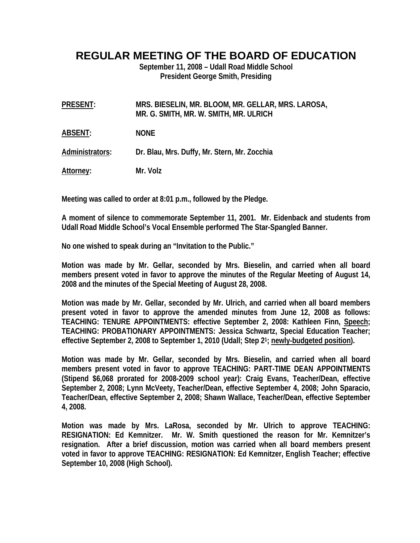## **REGULAR MEETING OF THE BOARD OF EDUCATION**

**September 11, 2008 – Udall Road Middle School President George Smith, Presiding** 

| PRESENT: | MRS. BIESELIN, MR. BLOOM, MR. GELLAR, MRS. LAROSA, |
|----------|----------------------------------------------------|
|          | MR. G. SMITH, MR. W. SMITH, MR. ULRICH             |

**ABSENT: NONE** 

**Administrators: Dr. Blau, Mrs. Duffy, Mr. Stern, Mr. Zocchia** 

**Attorney: Mr. Volz** 

**Meeting was called to order at 8:01 p.m., followed by the Pledge.** 

**A moment of silence to commemorate September 11, 2001. Mr. Eidenback and students from Udall Road Middle School's Vocal Ensemble performed The Star-Spangled Banner.** 

**No one wished to speak during an "Invitation to the Public."** 

**Motion was made by Mr. Gellar, seconded by Mrs. Bieselin, and carried when all board members present voted in favor to approve the minutes of the Regular Meeting of August 14, 2008 and the minutes of the Special Meeting of August 28, 2008.** 

**Motion was made by Mr. Gellar, seconded by Mr. Ulrich, and carried when all board members present voted in favor to approve the amended minutes from June 12, 2008 as follows: TEACHING: TENURE APPOINTMENTS: effective September 2, 2008: Kathleen Finn, Speech; TEACHING: PROBATIONARY APPOINTMENTS: Jessica Schwartz, Special Education Teacher; effective September 2, 2008 to September 1, 2010 (Udall; Step 21; newly-budgeted position).** 

**Motion was made by Mr. Gellar, seconded by Mrs. Bieselin, and carried when all board members present voted in favor to approve TEACHING: PART-TIME DEAN APPOINTMENTS (Stipend \$6,068 prorated for 2008-2009 school year): Craig Evans, Teacher/Dean, effective September 2, 2008; Lynn McVeety, Teacher/Dean, effective September 4, 2008; John Sparacio, Teacher/Dean, effective September 2, 2008; Shawn Wallace, Teacher/Dean, effective September 4, 2008.** 

**Motion was made by Mrs. LaRosa, seconded by Mr. Ulrich to approve TEACHING: RESIGNATION: Ed Kemnitzer. Mr. W. Smith questioned the reason for Mr. Kemnitzer's resignation. After a brief discussion, motion was carried when all board members present voted in favor to approve TEACHING: RESIGNATION: Ed Kemnitzer, English Teacher; effective September 10, 2008 (High School).**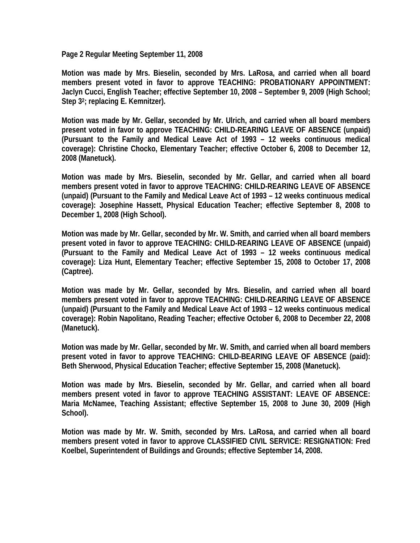**Page 2 Regular Meeting September 11, 2008** 

**Motion was made by Mrs. Bieselin, seconded by Mrs. LaRosa, and carried when all board members present voted in favor to approve TEACHING: PROBATIONARY APPOINTMENT: Jaclyn Cucci, English Teacher; effective September 10, 2008 – September 9, 2009 (High School; Step 32; replacing E. Kemnitzer).** 

**Motion was made by Mr. Gellar, seconded by Mr. Ulrich, and carried when all board members present voted in favor to approve TEACHING: CHILD-REARING LEAVE OF ABSENCE (unpaid) (Pursuant to the Family and Medical Leave Act of 1993 – 12 weeks continuous medical coverage): Christine Chocko, Elementary Teacher; effective October 6, 2008 to December 12, 2008 (Manetuck).** 

**Motion was made by Mrs. Bieselin, seconded by Mr. Gellar, and carried when all board members present voted in favor to approve TEACHING: CHILD-REARING LEAVE OF ABSENCE (unpaid) (Pursuant to the Family and Medical Leave Act of 1993 – 12 weeks continuous medical coverage): Josephine Hassett, Physical Education Teacher; effective September 8, 2008 to December 1, 2008 (High School).** 

**Motion was made by Mr. Gellar, seconded by Mr. W. Smith, and carried when all board members present voted in favor to approve TEACHING: CHILD-REARING LEAVE OF ABSENCE (unpaid) (Pursuant to the Family and Medical Leave Act of 1993 – 12 weeks continuous medical coverage): Liza Hunt, Elementary Teacher; effective September 15, 2008 to October 17, 2008 (Captree).** 

**Motion was made by Mr. Gellar, seconded by Mrs. Bieselin, and carried when all board members present voted in favor to approve TEACHING: CHILD-REARING LEAVE OF ABSENCE (unpaid) (Pursuant to the Family and Medical Leave Act of 1993 – 12 weeks continuous medical coverage): Robin Napolitano, Reading Teacher; effective October 6, 2008 to December 22, 2008 (Manetuck).** 

**Motion was made by Mr. Gellar, seconded by Mr. W. Smith, and carried when all board members present voted in favor to approve TEACHING: CHILD-BEARING LEAVE OF ABSENCE (paid): Beth Sherwood, Physical Education Teacher; effective September 15, 2008 (Manetuck).** 

**Motion was made by Mrs. Bieselin, seconded by Mr. Gellar, and carried when all board members present voted in favor to approve TEACHING ASSISTANT: LEAVE OF ABSENCE: Maria McNamee, Teaching Assistant; effective September 15, 2008 to June 30, 2009 (High School).**

**Motion was made by Mr. W. Smith, seconded by Mrs. LaRosa, and carried when all board members present voted in favor to approve CLASSIFIED CIVIL SERVICE: RESIGNATION: Fred Koelbel, Superintendent of Buildings and Grounds; effective September 14, 2008.**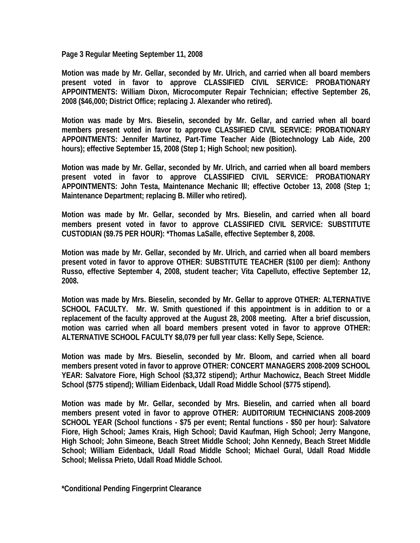**Page 3 Regular Meeting September 11, 2008** 

**Motion was made by Mr. Gellar, seconded by Mr. Ulrich, and carried when all board members present voted in favor to approve CLASSIFIED CIVIL SERVICE: PROBATIONARY APPOINTMENTS: William Dixon, Microcomputer Repair Technician; effective September 26, 2008 (\$46,000; District Office; replacing J. Alexander who retired).** 

**Motion was made by Mrs. Bieselin, seconded by Mr. Gellar, and carried when all board members present voted in favor to approve CLASSIFIED CIVIL SERVICE: PROBATIONARY APPOINTMENTS: Jennifer Martinez, Part-Time Teacher Aide (Biotechnology Lab Aide, 200 hours); effective September 15, 2008 (Step 1; High School; new position).** 

**Motion was made by Mr. Gellar, seconded by Mr. Ulrich, and carried when all board members present voted in favor to approve CLASSIFIED CIVIL SERVICE: PROBATIONARY APPOINTMENTS: John Testa, Maintenance Mechanic III; effective October 13, 2008 (Step 1; Maintenance Department; replacing B. Miller who retired).** 

**Motion was made by Mr. Gellar, seconded by Mrs. Bieselin, and carried when all board members present voted in favor to approve CLASSIFIED CIVIL SERVICE: SUBSTITUTE CUSTODIAN (\$9.75 PER HOUR): \*Thomas LaSalle, effective September 8, 2008.** 

**Motion was made by Mr. Gellar, seconded by Mr. Ulrich, and carried when all board members present voted in favor to approve OTHER: SUBSTITUTE TEACHER (\$100 per diem): Anthony Russo, effective September 4, 2008, student teacher; Vita Capelluto, effective September 12, 2008.** 

**Motion was made by Mrs. Bieselin, seconded by Mr. Gellar to approve OTHER: ALTERNATIVE SCHOOL FACULTY. Mr. W. Smith questioned if this appointment is in addition to or a replacement of the faculty approved at the August 28, 2008 meeting. After a brief discussion, motion was carried when all board members present voted in favor to approve OTHER: ALTERNATIVE SCHOOL FACULTY \$8,079 per full year class: Kelly Sepe, Science.** 

**Motion was made by Mrs. Bieselin, seconded by Mr. Bloom, and carried when all board members present voted in favor to approve OTHER: CONCERT MANAGERS 2008-2009 SCHOOL YEAR: Salvatore Fiore, High School (\$3,372 stipend); Arthur Machowicz, Beach Street Middle School (\$775 stipend); William Eidenback, Udall Road Middle School (\$775 stipend).** 

**Motion was made by Mr. Gellar, seconded by Mrs. Bieselin, and carried when all board members present voted in favor to approve OTHER: AUDITORIUM TECHNICIANS 2008-2009 SCHOOL YEAR (School functions - \$75 per event; Rental functions - \$50 per hour): Salvatore Fiore, High School; James Krais, High School; David Kaufman, High School; Jerry Mangone, High School; John Simeone, Beach Street Middle School; John Kennedy, Beach Street Middle School; William Eidenback, Udall Road Middle School; Michael Gural, Udall Road Middle School; Melissa Prieto, Udall Road Middle School.** 

**\*Conditional Pending Fingerprint Clearance**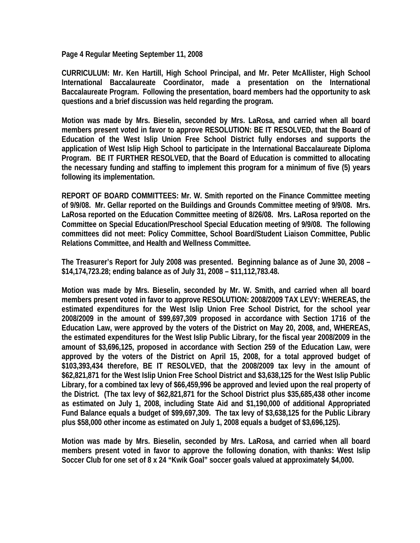**Page 4 Regular Meeting September 11, 2008** 

**CURRICULUM: Mr. Ken Hartill, High School Principal, and Mr. Peter McAllister, High School International Baccalaureate Coordinator, made a presentation on the International Baccalaureate Program. Following the presentation, board members had the opportunity to ask questions and a brief discussion was held regarding the program.** 

**Motion was made by Mrs. Bieselin, seconded by Mrs. LaRosa, and carried when all board members present voted in favor to approve RESOLUTION: BE IT RESOLVED, that the Board of Education of the West Islip Union Free School District fully endorses and supports the application of West Islip High School to participate in the International Baccalaureate Diploma Program. BE IT FURTHER RESOLVED, that the Board of Education is committed to allocating the necessary funding and staffing to implement this program for a minimum of five (5) years following its implementation.** 

**REPORT OF BOARD COMMITTEES: Mr. W. Smith reported on the Finance Committee meeting of 9/9/08. Mr. Gellar reported on the Buildings and Grounds Committee meeting of 9/9/08. Mrs. LaRosa reported on the Education Committee meeting of 8/26/08. Mrs. LaRosa reported on the Committee on Special Education/Preschool Special Education meeting of 9/9/08. The following committees did not meet: Policy Committee, School Board/Student Liaison Committee, Public Relations Committee, and Health and Wellness Committee.** 

**The Treasurer's Report for July 2008 was presented. Beginning balance as of June 30, 2008 – \$14,174,723.28; ending balance as of July 31, 2008 – \$11,112,783.48.** 

**Motion was made by Mrs. Bieselin, seconded by Mr. W. Smith, and carried when all board members present voted in favor to approve RESOLUTION: 2008/2009 TAX LEVY: WHEREAS, the estimated expenditures for the West Islip Union Free School District, for the school year 2008/2009 in the amount of \$99,697,309 proposed in accordance with Section 1716 of the Education Law, were approved by the voters of the District on May 20, 2008, and, WHEREAS, the estimated expenditures for the West Islip Public Library, for the fiscal year 2008/2009 in the amount of \$3,696,125, proposed in accordance with Section 259 of the Education Law, were approved by the voters of the District on April 15, 2008, for a total approved budget of \$103,393,434 therefore, BE IT RESOLVED, that the 2008/2009 tax levy in the amount of \$62,821,871 for the West Islip Union Free School District and \$3,638,125 for the West Islip Public Library, for a combined tax levy of \$66,459,996 be approved and levied upon the real property of the District. (The tax levy of \$62,821,871 for the School District plus \$35,685,438 other income as estimated on July 1, 2008, including State Aid and \$1,190,000 of additional Appropriated Fund Balance equals a budget of \$99,697,309. The tax levy of \$3,638,125 for the Public Library plus \$58,000 other income as estimated on July 1, 2008 equals a budget of \$3,696,125).** 

**Motion was made by Mrs. Bieselin, seconded by Mrs. LaRosa, and carried when all board members present voted in favor to approve the following donation, with thanks: West Islip Soccer Club for one set of 8 x 24 "Kwik Goal" soccer goals valued at approximately \$4,000.**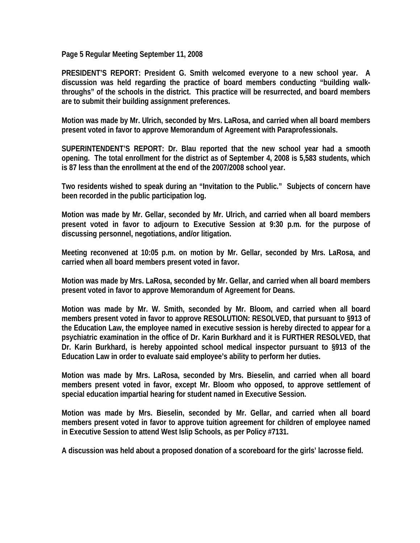**Page 5 Regular Meeting September 11, 2008** 

**PRESIDENT'S REPORT: President G. Smith welcomed everyone to a new school year. A discussion was held regarding the practice of board members conducting "building walkthroughs" of the schools in the district. This practice will be resurrected, and board members are to submit their building assignment preferences.** 

**Motion was made by Mr. Ulrich, seconded by Mrs. LaRosa, and carried when all board members present voted in favor to approve Memorandum of Agreement with Paraprofessionals.** 

**SUPERINTENDENT'S REPORT: Dr. Blau reported that the new school year had a smooth opening. The total enrollment for the district as of September 4, 2008 is 5,583 students, which is 87 less than the enrollment at the end of the 2007/2008 school year.** 

**Two residents wished to speak during an "Invitation to the Public." Subjects of concern have been recorded in the public participation log.** 

**Motion was made by Mr. Gellar, seconded by Mr. Ulrich, and carried when all board members present voted in favor to adjourn to Executive Session at 9:30 p.m. for the purpose of discussing personnel, negotiations, and/or litigation.** 

**Meeting reconvened at 10:05 p.m. on motion by Mr. Gellar, seconded by Mrs. LaRosa, and carried when all board members present voted in favor.** 

**Motion was made by Mrs. LaRosa, seconded by Mr. Gellar, and carried when all board members present voted in favor to approve Memorandum of Agreement for Deans.** 

**Motion was made by Mr. W. Smith, seconded by Mr. Bloom, and carried when all board members present voted in favor to approve RESOLUTION: RESOLVED, that pursuant to §913 of the Education Law, the employee named in executive session is hereby directed to appear for a psychiatric examination in the office of Dr. Karin Burkhard and it is FURTHER RESOLVED, that Dr. Karin Burkhard, is hereby appointed school medical inspector pursuant to §913 of the Education Law in order to evaluate said employee's ability to perform her duties.** 

**Motion was made by Mrs. LaRosa, seconded by Mrs. Bieselin, and carried when all board members present voted in favor, except Mr. Bloom who opposed, to approve settlement of special education impartial hearing for student named in Executive Session.** 

**Motion was made by Mrs. Bieselin, seconded by Mr. Gellar, and carried when all board members present voted in favor to approve tuition agreement for children of employee named in Executive Session to attend West Islip Schools, as per Policy #7131.** 

**A discussion was held about a proposed donation of a scoreboard for the girls' lacrosse field.**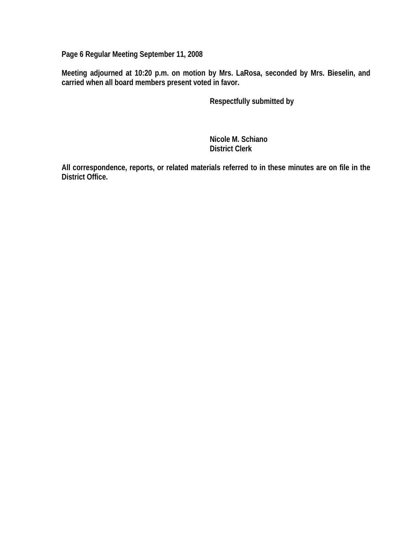**Page 6 Regular Meeting September 11, 2008** 

**Meeting adjourned at 10:20 p.m. on motion by Mrs. LaRosa, seconded by Mrs. Bieselin, and carried when all board members present voted in favor.** 

 **Respectfully submitted by** 

 **Nicole M. Schiano District Clerk**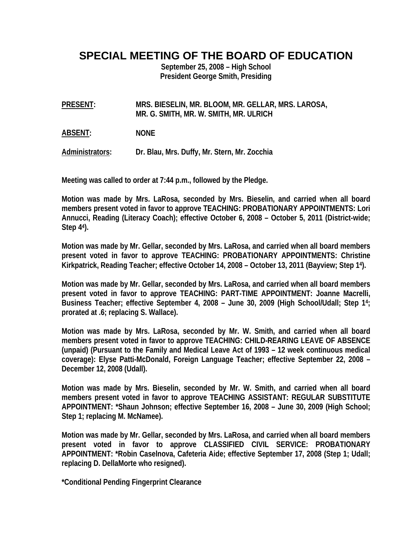**SPECIAL MEETING OF THE BOARD OF EDUCATION** 

**September 25, 2008 – High School President George Smith, Presiding** 

**PRESENT: MRS. BIESELIN, MR. BLOOM, MR. GELLAR, MRS. LAROSA, MR. G. SMITH, MR. W. SMITH, MR. ULRICH** 

**ABSENT: NONE** 

**Administrators: Dr. Blau, Mrs. Duffy, Mr. Stern, Mr. Zocchia** 

**Meeting was called to order at 7:44 p.m., followed by the Pledge.** 

**Motion was made by Mrs. LaRosa, seconded by Mrs. Bieselin, and carried when all board members present voted in favor to approve TEACHING: PROBATIONARY APPOINTMENTS: Lori Annucci, Reading (Literacy Coach); effective October 6, 2008 – October 5, 2011 (District-wide; Step 44).** 

**Motion was made by Mr. Gellar, seconded by Mrs. LaRosa, and carried when all board members present voted in favor to approve TEACHING: PROBATIONARY APPOINTMENTS: Christine Kirkpatrick, Reading Teacher; effective October 14, 2008 – October 13, 2011 (Bayview; Step 14).** 

**Motion was made by Mr. Gellar, seconded by Mrs. LaRosa, and carried when all board members present voted in favor to approve TEACHING: PART-TIME APPOINTMENT: Joanne Macrelli, Business Teacher; effective September 4, 2008 – June 30, 2009 (High School/Udall; Step 14; prorated at .6; replacing S. Wallace).** 

**Motion was made by Mrs. LaRosa, seconded by Mr. W. Smith, and carried when all board members present voted in favor to approve TEACHING: CHILD-REARING LEAVE OF ABSENCE (unpaid) (Pursuant to the Family and Medical Leave Act of 1993 – 12 week continuous medical coverage): Elyse Patti-McDonald, Foreign Language Teacher; effective September 22, 2008 – December 12, 2008 (Udall).** 

**Motion was made by Mrs. Bieselin, seconded by Mr. W. Smith, and carried when all board members present voted in favor to approve TEACHING ASSISTANT: REGULAR SUBSTITUTE APPOINTMENT: \*Shaun Johnson; effective September 16, 2008 – June 30, 2009 (High School; Step 1; replacing M. McNamee).** 

**Motion was made by Mr. Gellar, seconded by Mrs. LaRosa, and carried when all board members present voted in favor to approve CLASSIFIED CIVIL SERVICE: PROBATIONARY APPOINTMENT: \*Robin Caselnova, Cafeteria Aide; effective September 17, 2008 (Step 1; Udall; replacing D. DellaMorte who resigned).** 

**\*Conditional Pending Fingerprint Clearance**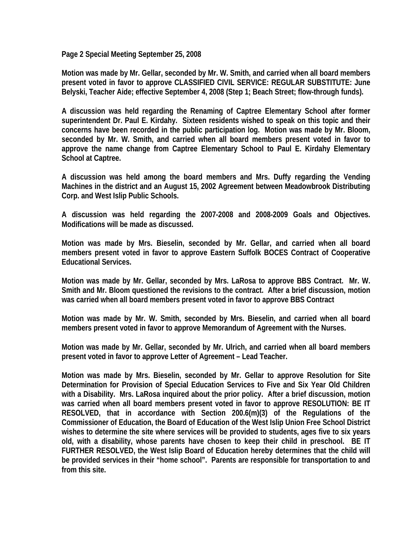**Page 2 Special Meeting September 25, 2008** 

**Motion was made by Mr. Gellar, seconded by Mr. W. Smith, and carried when all board members present voted in favor to approve CLASSIFIED CIVIL SERVICE: REGULAR SUBSTITUTE: June Belyski, Teacher Aide; effective September 4, 2008 (Step 1; Beach Street; flow-through funds).** 

**A discussion was held regarding the Renaming of Captree Elementary School after former superintendent Dr. Paul E. Kirdahy. Sixteen residents wished to speak on this topic and their concerns have been recorded in the public participation log. Motion was made by Mr. Bloom, seconded by Mr. W. Smith, and carried when all board members present voted in favor to approve the name change from Captree Elementary School to Paul E. Kirdahy Elementary School at Captree.** 

**A discussion was held among the board members and Mrs. Duffy regarding the Vending Machines in the district and an August 15, 2002 Agreement between Meadowbrook Distributing Corp. and West Islip Public Schools.** 

**A discussion was held regarding the 2007-2008 and 2008-2009 Goals and Objectives. Modifications will be made as discussed.** 

**Motion was made by Mrs. Bieselin, seconded by Mr. Gellar, and carried when all board members present voted in favor to approve Eastern Suffolk BOCES Contract of Cooperative Educational Services.** 

**Motion was made by Mr. Gellar, seconded by Mrs. LaRosa to approve BBS Contract. Mr. W. Smith and Mr. Bloom questioned the revisions to the contract. After a brief discussion, motion was carried when all board members present voted in favor to approve BBS Contract** 

**Motion was made by Mr. W. Smith, seconded by Mrs. Bieselin, and carried when all board members present voted in favor to approve Memorandum of Agreement with the Nurses.** 

**Motion was made by Mr. Gellar, seconded by Mr. Ulrich, and carried when all board members present voted in favor to approve Letter of Agreement – Lead Teacher.** 

**Motion was made by Mrs. Bieselin, seconded by Mr. Gellar to approve Resolution for Site Determination for Provision of Special Education Services to Five and Six Year Old Children with a Disability. Mrs. LaRosa inquired about the prior policy. After a brief discussion, motion was carried when all board members present voted in favor to approve RESOLUTION: BE IT RESOLVED, that in accordance with Section 200.6(m)(3) of the Regulations of the Commissioner of Education, the Board of Education of the West Islip Union Free School District wishes to determine the site where services will be provided to students, ages five to six years old, with a disability, whose parents have chosen to keep their child in preschool. BE IT FURTHER RESOLVED, the West Islip Board of Education hereby determines that the child will be provided services in their "home school". Parents are responsible for transportation to and from this site.**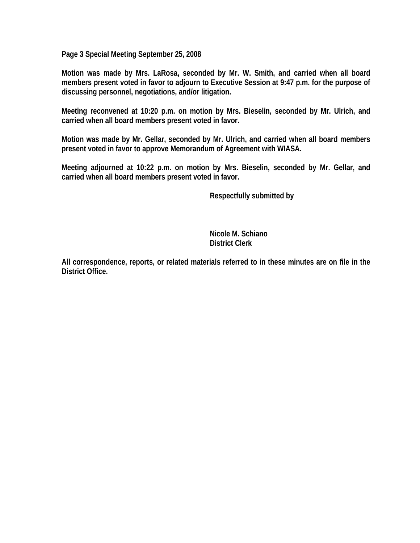**Page 3 Special Meeting September 25, 2008** 

**Motion was made by Mrs. LaRosa, seconded by Mr. W. Smith, and carried when all board members present voted in favor to adjourn to Executive Session at 9:47 p.m. for the purpose of discussing personnel, negotiations, and/or litigation.** 

**Meeting reconvened at 10:20 p.m. on motion by Mrs. Bieselin, seconded by Mr. Ulrich, and carried when all board members present voted in favor.** 

**Motion was made by Mr. Gellar, seconded by Mr. Ulrich, and carried when all board members present voted in favor to approve Memorandum of Agreement with WIASA.** 

**Meeting adjourned at 10:22 p.m. on motion by Mrs. Bieselin, seconded by Mr. Gellar, and carried when all board members present voted in favor.** 

 **Respectfully submitted by** 

 **Nicole M. Schiano District Clerk**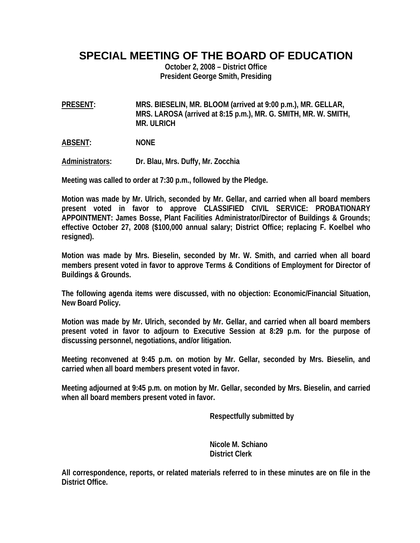**SPECIAL MEETING OF THE BOARD OF EDUCATION** 

**October 2, 2008 – District Office President George Smith, Presiding** 

**PRESENT: MRS. BIESELIN, MR. BLOOM (arrived at 9:00 p.m.), MR. GELLAR, MRS. LAROSA (arrived at 8:15 p.m.), MR. G. SMITH, MR. W. SMITH, MR. ULRICH** 

**ABSENT: NONE** 

**Administrators: Dr. Blau, Mrs. Duffy, Mr. Zocchia** 

**Meeting was called to order at 7:30 p.m., followed by the Pledge.** 

**Motion was made by Mr. Ulrich, seconded by Mr. Gellar, and carried when all board members present voted in favor to approve CLASSIFIED CIVIL SERVICE: PROBATIONARY APPOINTMENT: James Bosse, Plant Facilities Administrator/Director of Buildings & Grounds; effective October 27, 2008 (\$100,000 annual salary; District Office; replacing F. Koelbel who resigned).** 

**Motion was made by Mrs. Bieselin, seconded by Mr. W. Smith, and carried when all board members present voted in favor to approve Terms & Conditions of Employment for Director of Buildings & Grounds.** 

**The following agenda items were discussed, with no objection: Economic/Financial Situation, New Board Policy.** 

**Motion was made by Mr. Ulrich, seconded by Mr. Gellar, and carried when all board members present voted in favor to adjourn to Executive Session at 8:29 p.m. for the purpose of discussing personnel, negotiations, and/or litigation.** 

**Meeting reconvened at 9:45 p.m. on motion by Mr. Gellar, seconded by Mrs. Bieselin, and carried when all board members present voted in favor.** 

**Meeting adjourned at 9:45 p.m. on motion by Mr. Gellar, seconded by Mrs. Bieselin, and carried when all board members present voted in favor.** 

 **Respectfully submitted by** 

 **Nicole M. Schiano District Clerk**